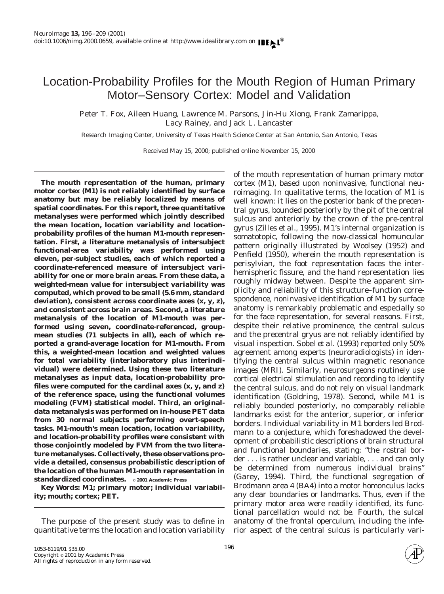# Location-Probability Profiles for the Mouth Region of Human Primary Motor–Sensory Cortex: Model and Validation

Peter T. Fox, Aileen Huang, Lawrence M. Parsons, Jin-Hu Xiong, Frank Zamarippa, Lacy Rainey, and Jack L. Lancaster

*Research Imaging Center, University of Texas Health Science Center at San Antonio, San Antonio, Texas*

Received May 15, 2000; published online November 15, 2000

**The mouth representation of the human, primary motor cortex (M1) is not reliably identified by surface anatomy but may be reliably localized by means of spatial coordinates. For this report, three quantitative metanalyses were performed which jointly described the mean location, location variability and locationprobability profiles of the human M1-mouth representation. First, a literature metanalysis of intersubject functional-area variability was performed using eleven, per-subject studies, each of which reported a coordinate-referenced measure of intersubject variability for one or more brain areas. From these data, a weighted-mean value for intersubject variability was computed, which proved to be small (5.6 mm, standard deviation), consistent across coordinate axes (x, y, z), and consistent across brain areas. Second, a literature metanalysis of the location of M1-mouth was performed using seven, coordinate-referenced, groupmean studies (71 subjects in all), each of which reported a grand-average location for M1-mouth. From this, a weighted-mean location and weighted values for total variability (interlaboratory plus interindividual) were determined. Using these two literature metanalyses as input data, location-probability profiles were computed for the cardinal axes (x, y, and z) of the reference space, using the functional volumes modeling (FVM) statistical model. Third, an originaldata metanalysis was performed on in-house PET data from 30 normal subjects performing overt-speech tasks. M1-mouth's mean location, location variability, and location-probability profiles were consistent with those conjointly modeled by FVM from the two literature metanalyses. Collectively, these observations provide a detailed, consensus probabilistic description of the location of the human M1-mouth representation in standardized coordinates.** © **2001 Academic Press**

*Key Words:* **M1; primary motor; individual variability; mouth; cortex; PET.**

The purpose of the present study was to define in quantitative terms the location and location variability of the mouth representation of human primary motor cortex (M1), based upon noninvasive, functional neuroimaging. In qualitative terms, the location of M1 is well known: it lies on the posterior bank of the precentral gyrus, bounded posteriorly by the pit of the central sulcus and anteriorly by the crown of the pre-central gyrus (Zilles *et al.,* 1995). M1's internal organization is somatotopic, following the now-classical homuncular pattern originally illustrated by Woolsey (1952) and Penfield (1950), wherein the mouth representation is perisylvian, the foot representation faces the interhemispheric fissure, and the hand representation lies roughly midway between. Despite the apparent simplicity and reliability of this structure–function correspondence, noninvasive identification of M1 by surface anatomy is remarkably problematic and especially so for the face representation, for several reasons. First, despite their relative prominence, the central sulcus and the precentral gryus are not reliably identified by visual inspection. Sobel *et al.* (1993) reported only 50% agreement among experts (neuroradiologists) in identifying the central sulcus within magnetic resonance images (MRI). Similarly, neurosurgeons routinely use cortical electrical stimulation and recording to identify the central sulcus, and do not rely on visual landmark identification (Goldring, 1978). Second, while M1 is reliably bounded posteriorly, no comparably reliable landmarks exist for the anterior, superior, or inferior borders. Individual variability in M1 borders led Brodmann to a conjecture, which foreshadowed the development of probabilistic descriptions of brain structural and functional boundaries, stating: "the rostral border . . . is rather unclear and variable, . . . and can only be determined from numerous individual brains" (Garey, 1994). Third, the functional segregation of Brodmann area 4 (BA4) into a motor homonculus lacks any clear boundaries or landmarks. Thus, even if the primary motor area were readily identified, its functional parcellation would not be. Fourth, the sulcal anatomy of the frontal operculum, including the inferior aspect of the central sulcus is particularly vari-

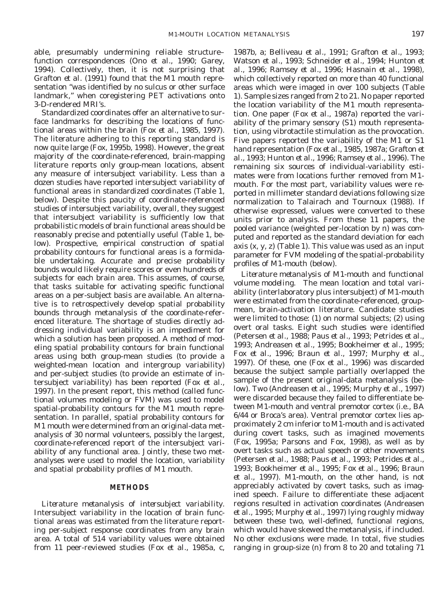able, presumably undermining reliable structure– function correspondences (Ono *et al.,* 1990; Garey, 1994). Collectively, then, it is not surprising that Grafton *et al.* (1991) found that the M1 mouth representation "was identified by no sulcus or other surface landmark," when coregistering PET activations onto 3-D-rendered MRI's.

Standardized coordinates offer an alternative to surface landmarks for describing the locations of functional areas within the brain (Fox *et al.,* 1985, 1997). The literature adhering to this reporting standard is now quite large (Fox, 1995b, 1998). However, the great majority of the coordinate-referenced, brain-mapping literature reports only group-mean locations, absent any measure of intersubject variability. Less than a dozen studies have reported intersubject variability of functional areas in standardized coordinates (Table 1, below). Despite this paucity of coordinate-referenced studies of intersubject variability, overall, they suggest that intersubject variability is sufficiently low that probabilistic models of brain functional areas should be reasonably precise and potentially useful (Table 1, below). Prospective, empirical construction of spatial probability contours for functional areas is a formidable undertaking. Accurate and precise probability bounds would likely require scores or even hundreds of subjects for each brain area. This assumes, of course, that tasks suitable for activating specific functional areas on a per-subject basis are available. An alternative is to retrospectively develop spatial probability bounds through metanalysis of the coordinate-referenced literature. The shortage of studies directly addressing individual variability is an impediment for which a solution has been proposed. A method of modeling spatial probability contours for brain functional areas using both group-mean studies (to provide a weighted-mean location and intergroup variability) and per-subject studies (to provide an estimate of intersubject variability) has been reported (Fox *et al.,* 1997). In the present report, this method (called functional volumes modeling or FVM) was used to model spatial-probability contours for the M1 mouth representation. In parallel, spatial probability contours for M1 mouth were determined from an original-data metanalysis of 30 normal volunteers, possibly the largest, coordinate-referenced report of the intersubject variability of any functional area. Jointly, these two metanalyses were used to model the location, variability and spatial probability profiles of M1 mouth.

# **METHODS**

*Literature metanalysis of intersubject variability.* Intersubject variability in the location of brain functional areas was estimated from the literature reporting per-subject response coordinates from any brain area. A total of 514 variability values were obtained from 11 peer-reviewed studies (Fox *et al.,* 1985a, c,

1987b, a; Belliveau *et al.,* 1991; Grafton *et al.,* 1993; Watson *et al.,* 1993; Schneider *et al.,* 1994; Hunton *et al.,* 1996; Ramsey *et al.,* 1996; Hasnain *et al.,* 1998), which collectively reported on more than 40 functional areas which were imaged in over 100 subjects (Table 1). Sample sizes ranged from 2 to 21. No paper reported the location variability of the M1 mouth representation. One paper (Fox *et al.,* 1987a) reported the variability of the primary sensory (S1) mouth representation, using vibrotactile stimulation as the provocation. Five papers reported the variability of the M1 or S1 hand representation (Fox *et al.,* 1985, 1987a; Grafton *et al.,* 1993; Hunton *et al.,* 1996; Ramsey *et al.,* 1996). The remaining six sources of individual-variability estimates were from locations further removed from M1 mouth. For the most part, variability values were reported in millimeter standard deviations following size normalization to Talairach and Tournoux (1988). If otherwise expressed, values were converted to these units prior to analysis. From these 11 papers, the pooled variance (weighted per-location by *n*) was computed and reported as the standard deviation for each axis (x, y, z) (Table 1). This value was used as an input parameter for FVM modeling of the spatial-probability profiles of M1-mouth (below).

*Literature metanalysis of M1-mouth and functional volume modeling.* The mean location and total variability (interlaboratory plus intersubject) of M1-mouth were estimated from the coordinate-referenced, groupmean, brain-activation literature. Candidate studies were limited to those: (1) on normal subjects; (2) using overt oral tasks. Eight such studies were identified (Petersen *et al.,* 1988; Paus *et al.,* 1993; Petrides *et al.,* 1993; Andreasen *et al.,* 1995; Bookheimer *et al.,* 1995; Fox *et al.,* 1996; Braun *et al.,* 1997; Murphy *et al.,* 1997). Of these, one (Fox *et al.,* 1996) was discarded because the subject sample partially overlapped the sample of the present original-data metanalysis (below). Two (Andreasen *et al.,* 1995; Murphy *et al.,* 1997) were discarded because they failed to differentiate between M1-mouth and ventral premotor cortex (i.e., BA 6/44 or Broca's area). Ventral premotor cortex lies approximately 2 cm inferior to M1-mouth and is activated during covert tasks, such as imagined movements (Fox, 1995a; Parsons and Fox, 1998), as well as by overt tasks such as actual speech or other movements (Petersen *et al.,* 1988; Paus *et al.,* 1993; Petrides *et al.,* 1993; Bookheimer *et al.,* 1995; Fox *et al.,* 1996; Braun *et al.,* 1997). M1-mouth, on the other hand, is not appreciably activated by covert tasks, such as imagined speech. Failure to differentiate these adjacent regions resulted in activation coordinates (Andreasen *et al.,* 1995; Murphy *et al.,* 1997) lying roughly midway between these two, well-defined, functional regions, which would have skewed the metanalysis, if included. No other exclusions were made. In total, five studies ranging in group-size (*n*) from 8 to 20 and totaling 71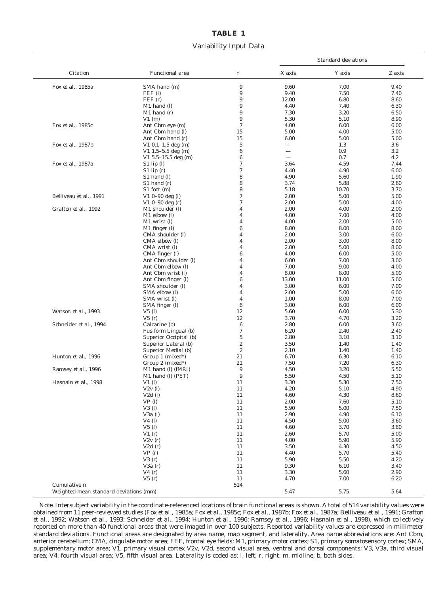# **TABLE 1** Variability Input Data

|                        |                           |                  |                          | <b>Standard deviations</b> |          |  |
|------------------------|---------------------------|------------------|--------------------------|----------------------------|----------|--|
| Citation               | <b>Functional</b> area    | $\boldsymbol{n}$ | X axis                   | Y axis                     | Z axis   |  |
| Fox et al., 1985a      | SMA hand (m)              | 9                | 9.60                     | 7.00                       | 9.40     |  |
|                        | $FEF$ (l)                 | 9                | 9.40                     | 7.50                       | 7.40     |  |
|                        | FEF(r)                    | $\boldsymbol{9}$ | 12.00                    | 6.80                       | 8.60     |  |
|                        | M1 hand (l)               | $\boldsymbol{9}$ | 4.40                     | 7.40                       | 6.30     |  |
|                        | $M1$ hand $(r)$           | 9                | 7.30                     | 3.20                       | 6.50     |  |
|                        | V1(m)                     | 9                | 5.30                     | 5.10                       | 8.90     |  |
| Fox et al., 1985c      | Ant Cbm eye (m)           | $\tau$           | 4.00                     | 6.00                       | 6.00     |  |
|                        | Ant Cbm hand (l)          | 15               | 5.00                     | 4.00                       | 5.00     |  |
|                        | Ant Cbm hand (r)          | 15               | 6.00                     | 5.00                       | 5.00     |  |
| Fox et al., 1987b      | $V1$ 0.1-1.5 deg (m)      | $\sqrt{5}$       | $\overline{\phantom{0}}$ | 1.3                        | 3.6      |  |
|                        | $V1$ 1.5-5.5 deg (m)      | $\boldsymbol{6}$ |                          | 0.9                        | 3.2      |  |
|                        | V1 $5.5-15.5$ deg (m)     | $\boldsymbol{6}$ | $\overline{\phantom{0}}$ | 0.7                        | 4.2      |  |
| Fox et al., 1987a      | $S1$ lip $(l)$            | $\boldsymbol{7}$ | 3.64                     | 4.59                       | 7.44     |  |
|                        | $S1$ lip $(r)$            | $\boldsymbol{7}$ | 4.40                     | 4.90                       | 6.00     |  |
|                        | S1 hand (l)               | 8                | 4.90                     | 5.60                       | 1.90     |  |
|                        | $S1$ hand $(r)$           | 8                | 3.74                     | 5.88                       | 2.60     |  |
|                        | S1 foot (m)               | 8                | 5.18                     | 10.70                      | 3.70     |  |
| Belliveau et al., 1991 | $V1$ 0-90 deg (l)         | $\boldsymbol{7}$ | 2.00                     | 5.00                       | 5.00     |  |
|                        | $V1$ 0-90 deg (r)         | $\boldsymbol{7}$ | 2.00                     | 5.00                       | 4.00     |  |
| Grafton et al., 1992   | M1 shoulder (l)           | $\overline{4}$   | 2.00                     | 4.00                       | 2.00     |  |
|                        | M1 elbow (l)              | $\overline{4}$   | 4.00                     | 7.00                       | 4.00     |  |
|                        | M1 wrist (l)              | $\overline{4}$   | 4.00                     | 2.00                       | 5.00     |  |
|                        | M1 finger (l)             | $\boldsymbol{6}$ | 8.00                     | 8.00                       | 8.00     |  |
|                        | CMA shoulder (l)          | 4                | 2.00                     | 3.00                       | 6.00     |  |
|                        | CMA elbow (l)             | $\overline{4}$   | 2.00                     | 3.00                       | 8.00     |  |
|                        | CMA wrist (I)             | $\overline{4}$   | 2.00                     | 5.00                       | 8.00     |  |
|                        | CMA finger (l)            | $\boldsymbol{6}$ | 4.00                     | 6.00                       | 5.00     |  |
|                        | Ant Cbm shoulder (l)      | $\overline{4}$   | 6.00                     | 7.00                       | 3.00     |  |
|                        | Ant Cbm elbow (l)         | $\overline{4}$   | 7.00                     | 9.00                       | 4.00     |  |
|                        | Ant Cbm wrist (l)         | $\overline{4}$   | 8.00                     | 8.00                       | 5.00     |  |
|                        | Ant Cbm finger (l)        | $\boldsymbol{6}$ | 13.00                    | 11.00                      | 5.00     |  |
|                        | SMA shoulder (l)          | $\overline{4}$   | 3.00                     | 6.00                       | 7.00     |  |
|                        | SMA elbow (l)             | $\overline{4}$   | 2.00                     | 5.00                       | 6.00     |  |
|                        | SMA wrist (l)             | $\overline{4}$   | 1.00                     | 8.00                       | 7.00     |  |
|                        | SMA finger (l)            | $\boldsymbol{6}$ | 3.00                     | 6.00                       | 6.00     |  |
| Watson et al., 1993    | $V5$ (l)                  | 12               | 5.60                     | 6.00                       | 5.30     |  |
|                        | V5(r)                     | 12               | 3.70                     | 4.70                       | 3.20     |  |
| Schneider et al., 1994 | Calcarine (b)             | $\boldsymbol{6}$ | 2.80                     | 6.00                       | 3.60     |  |
|                        | Fusiform Lingual (b)      | $\boldsymbol{7}$ | 6.20                     | 2.40                       | 2.40     |  |
|                        | Superior Occipital (b)    | $\sqrt{5}$       | 2.80                     | 3.10                       | 3.10     |  |
|                        | Superior Lateral (b)      | $\boldsymbol{2}$ | 3.50                     | 1.40                       | 1.40     |  |
|                        | Superior Medial (b)       | $\,2$            | 2.10                     | 1.40                       | 1.40     |  |
| Hunton et al., 1996    | Group 1 (mixed*)          | 21               | 6.70                     | 6.30                       | 6.10     |  |
|                        | Group $2 \text{ (mixed)}$ | 21               | 7.50                     | 7.20                       | 6.30     |  |
| Ramsey et al., 1996    | M1 hand (l) (fMRI)        | 9                | 4.50                     | 3.20                       | 5.50     |  |
|                        | M1 hand (l) (PET)         | 9                | 5.50                     | 4.50                       | 5.10     |  |
| Hasnain et al., 1998   | $V1$ (l)                  | 11               | 3.30                     | 5.30                       | 7.50     |  |
|                        | V2v(1)                    | 11               | 4.20                     | 5.10                       | 4.90     |  |
|                        | $V2d$ (l)                 | 11               | 4.60                     | 4.30                       | $8.60\,$ |  |
|                        | VP(1)                     | 11               | 2.00                     | 7.60                       | 5.10     |  |
|                        | $V3$ (l)                  | 11               | 5.90                     | 5.00                       | 7.50     |  |
|                        | $V3a$ (l)                 | 11               | $2.90\,$                 | 4.90                       | $6.10\,$ |  |
|                        | $V4$ (l)                  | 11               | 4.50                     | 5.00                       | 3.60     |  |
|                        | $V5$ (l)                  | 11               | 4.60                     | 3.70                       | 3.80     |  |
|                        | VI(r)                     | 11               | 2.60                     | 5.70                       | 5.00     |  |
|                        | V2v(r)                    | 11               | 4.00                     | 5.90                       | 5.90     |  |
|                        | V2d(r)                    | 11               | 3.50                     | 4.30                       | 4.50     |  |
|                        | VP(r)                     | 11               | 4.40                     | 5.70                       | 5.40     |  |
|                        | V3(r)                     | 11               | 5.90                     | 5.50                       | 4.20     |  |
|                        | V3a(r)                    | 11               | 9.30                     | 6.10                       | 3.40     |  |
|                        | V4(r)                     | 11               | 3.30                     | 5.60                       | $2.90\,$ |  |
|                        | V5(r)                     | 11               | 4.70                     | 7.00                       | 6.20     |  |
|                        |                           |                  |                          |                            |          |  |
| Cumulative n           |                           | 514              |                          |                            |          |  |

*Note.* Intersubject variability in the coordinate-referenced locations of brain functional areas is shown. A total of 514 variability values were obtained from 11 peer-reviewed studies (Fox *et al.,* 1985a; Fox *et al.,* 1985c; Fox *et al.,* 1987b; Fox *et al.,* 1987a; Belliveau *et al.,* 1991; Grafton *et al.,* 1992; Watson *et al.,* 1993; Schneider *et al.,* 1994; Hunton *et al.,* 1996; Ramsey *et al.,* 1996; Hasnain *et al.,* 1998), which collectively reported on more than 40 functional areas that were imaged in over 100 subjects. Reported variability values are expressed in millimeter standard deviations. Functional areas are designated by area name, map segment, and laterality. Area name abbreviations are: Ant Cbm, anterior cerebellum; CMA, cingulate motor area; FEF, frontal eye fields; M1, primary motor cortex; S1, primary somatosensory cortex; SMA, supplementary motor area; V1, primary visual cortex V2v, V2d, second visual area, ventral and dorsal components; V3, V3a, third visual area; V4, fourth visual area; V5, fifth visual area. Laterality is coded as: l, left; r, right; m, midline; b, both sides.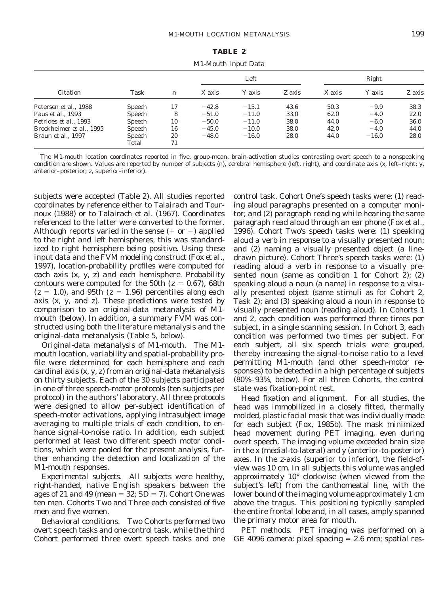#### **TABLE 2**

|                            |        |                  |         |         | Left   |        | Right   |        |  |
|----------------------------|--------|------------------|---------|---------|--------|--------|---------|--------|--|
| Citation                   | Task   | $\boldsymbol{n}$ | X axis  | Y axis  | Z axis | X axis | Y axis  | Z axis |  |
| Petersen et al., 1988      | Speech | 17               | $-42.8$ | $-15.1$ | 43.6   | 50.3   | $-9.9$  | 38.3   |  |
| Paus et al., 1993          | Speech | 8                | $-51.0$ | $-11.0$ | 33.0   | 62.0   | $-4.0$  | 22.0   |  |
| Petrides et al., 1993      | Speech | 10               | $-50.0$ | $-11.0$ | 38.0   | 44.0   | $-6.0$  | 36.0   |  |
| Brookheimer et al., 1995   | Speech | 16               | $-45.0$ | $-10.0$ | 38.0   | 42.0   | $-4.0$  | 44.0   |  |
| Braun <i>et al.</i> , 1997 | Speech | 20               | $-48.0$ | $-16.0$ | 28.0   | 44.0   | $-16.0$ | 28.0   |  |
|                            | Total  | 71               |         |         |        |        |         |        |  |

The M1-mouth location coordinates reported in five, group-mean, brain-activation studies contrasting overt speech to a nonspeaking condition are shown. Values are reported by number of subjects (*n*), cerebral hemisphere (left, right), and coordinate axis (x, left–right; y, anterior–posterior; z, superior–inferior).

subjects were accepted (Table 2). All studies reported coordinates by reference either to Talairach and Tournoux (1988) or to Talairach *et al.* (1967). Coordinates referenced to the latter were converted to the former. Although reports varied in the sense  $(+ or -)$  applied to the right and left hemispheres, this was standardized to right hemisphere being positive. Using these input data and the FVM modeling construct (Fox *et al.,* 1997), location-probability profiles were computed for each axis (x, y, z) and each hemisphere. Probability contours were computed for the 50th  $(z = 0.67)$ , 68th  $(z = 1.0)$ , and 95th  $(z = 1.96)$  percentiles along each axis (x, y, and z). These predictions were tested by comparison to an original-data metanalysis of M1 mouth (below). In addition, a summary FVM was constructed using both the literature metanalysis and the original-data metanalysis (Table 5, below).

*Original-data metanalysis of M1-mouth.* The M1 mouth location, variability and spatial-probability profile were determined for each hemisphere and each cardinal axis (x, y, z) from an original-data metanalysis on thirty subjects. Each of the 30 subjects participated in one of three speech-motor protocols (ten subjects per protocol) in the authors' laboratory. All three protocols were designed to allow per-subject identification of speech-motor activations, applying intrasubject image averaging to multiple trials of each condition, to enhance signal-to-noise ratio. In addition, each subject performed at least two different speech motor conditions, which were pooled for the present analysis, further enhancing the detection and localization of the M1-mouth responses.

*Experimental subjects.* All subjects were healthy, right-handed, native English speakers between the ages of 21 and 49 (mean  $= 32$ ; SD  $= 7$ ). Cohort One was ten men. Cohorts Two and Three each consisted of five men and five women.

*Behavioral conditions.* Two Cohorts performed two overt speech tasks and one control task, while the third Cohort performed three overt speech tasks and one control task. Cohort One's speech tasks were: (1) reading aloud paragraphs presented on a computer monitor; and (2) paragraph reading while hearing the same paragraph read aloud through an ear phone (Fox *et al.,* 1996). Cohort Two's speech tasks were: (1) speaking aloud a verb in response to a visually presented noun; and (2) naming a visually presented object (a linedrawn picture). Cohort Three's speech tasks were: (1) reading aloud a verb in response to a visually presented noun (same as condition 1 for Cohort 2); (2) speaking aloud a noun (a name) in response to a visually presented object (same stimuli as for Cohort 2, Task 2); and (3) speaking aloud a noun in response to visually presented noun (reading aloud). In Cohorts 1 and 2, each condition was performed three times per subject, in a single scanning session. In Cohort 3, each condition was performed two times per subject. For each subject, all six speech trials were grouped, thereby increasing the signal-to-noise ratio to a level permitting M1-mouth (and other speech-motor responses) to be detected in a high percentage of subjects (80%–93%, below). For all three Cohorts, the control state was fixation-point rest.

*Head fixation and alignment.* For all studies, the head was immobilized in a closely fitted, thermally molded, plastic facial mask that was individually made for each subject (Fox, 1985b). The mask minimized head movement during PET imaging, even during overt speech. The imaging volume exceeded brain size in the x (medial-to-lateral) and y (anterior-to-posterior) axes. In the z-axis (superior to inferior), the field-ofview was 10 cm. In all subjects this volume was angled approximately 10° clockwise (when viewed from the subject's left) from the canthomeatal line, with the lower bound of the imaging volume approximately 1 cm above the tragus. This positioning typically sampled the entire frontal lobe and, in all cases, amply spanned the primary motor area for mouth.

*PET methods.* PET imaging was performed on a GE 4096 camera: pixel spacing  $= 2.6$  mm; spatial res-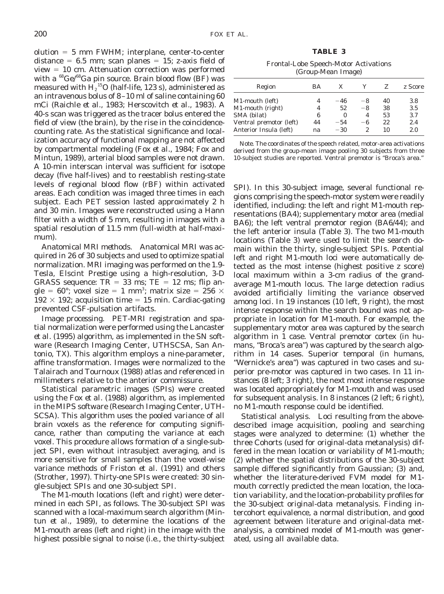**TABLE 3**

Frontal-Lobe Speech-Motor Activations (Group-Mean Image)

| Region                                            | ВA       | X              |         | Z.       | z Score    |
|---------------------------------------------------|----------|----------------|---------|----------|------------|
| M1-mouth (left)                                   |          | $-46$          | -8      | 40       | 3.8        |
| M1-mouth (right)                                  | 4        | 52             | $-8$    | 38       | 3.5        |
| SMA (bilat)                                       | 6        | 0              | 4       | 53       | 3.7        |
| Ventral premotor (left)<br>Anterior Insula (left) | 44<br>na | $-54$<br>$-30$ | -6<br>2 | 22<br>10 | 2.4<br>2.0 |
|                                                   |          |                |         |          |            |

*Note.* The coordinates of the speech related, motor-area activations derived from the group-mean image pooling 30 subjects from three 10-subject studies are reported. Ventral premotor is "Broca's area."

SPI). In this 30-subject image, several functional regions comprising the speech-motor system were readily identified, including: the left and right M1-mouth representations (BA4); supplementary motor area (medial BA6); the left ventral premotor region (BA6/44); and the left anterior insula (Table 3). The two M1-mouth locations (Table 3) were used to limit the search domain within the thirty, single-subject SPIs. Potential left and right M1-mouth loci were automatically detected as the most intense (highest positive *z* score) local maximum within a 3-cm radius of the grandaverage M1-mouth locus. The large detection radius avoided artificially limiting the variance observed among loci. In 19 instances (10 left, 9 right), the most intense response within the search bound was not appropriate in location for M1-mouth. For example, the supplementary motor area was captured by the search algorithm in 1 case. Ventral premotor cortex (in humans, "Broca's area") was captured by the search algorithm in 14 cases. Superior temporal (in humans, "Wernicke's area") was captured in two cases and superior pre-motor was captured in two cases. In 11 instances (8 left; 3 right), the next most intense response was located appropriately for M1-mouth and was used for subsequent analysis. In 8 instances (2 left; 6 right), no M1-mouth response could be identified.

*Statistical analysis.* Loci resulting from the abovedescribed image acquisition, pooling and searching stages were analyzed to determine: (1) whether the three Cohorts (used for original-data metanalysis) differed in the mean location or variability of M1-mouth; (2) whether the spatial distributions of the 30-subject sample differed significantly from Gaussian; (3) and, whether the literature-derived FVM model for M1 mouth correctly predicted the mean location, the location variability, and the location-probability profiles for the 30-subject original-data metanalysis. Finding intercohort equivalence, a normal distribution, and good agreement between literature and original-data metanalysis, a combined model of M1-mouth was generated, using all available data.

 $olution = 5 mm FWHM; interplane, center-to-center$ distance  $= 6.5$  mm; scan planes  $= 15$ ; z-axis field of  $view = 10$  cm. Attenuation correction was performed with a  $^{68}$ Ge/ $^{68}$ Ga pin source. Brain blood flow (BF) was measured with  $\mathrm{H_2}^{\text{15}}\mathrm{O}$  (half-life, 123 s), administered as an intravenous bolus of 8–10 ml of saline containing 60 mCi (Raichle *et al.,* 1983; Herscovitch *et al.,* 1983). A 40-s scan was triggered as the tracer bolus entered the field of view (the brain), by the rise in the coincidencecounting rate. As the statistical significance and localization accuracy of functional mapping are not affected by compartmental modeling (Fox *et al.,* 1984; Fox and Mintun, 1989), arterial blood samples were not drawn. A 10-min interscan interval was sufficient for isotope decay (five half-lives) and to reestablish resting-state levels of regional blood flow (rBF) within activated areas. Each condition was imaged three times in each subject. Each PET session lasted approximately 2 h and 30 min. Images were reconstructed using a Hann filter with a width of 5 mm, resulting in images with a spatial resolution of 11.5 mm (full-width at half-maximum).

*Anatomical MRI methods.* Anatomical MRI was acquired in 26 of 30 subjects and used to optimize spatial normalization. MRI imaging was performed on the 1.9- Tesla, Elscint *Prestige* using a high-resolution, 3-D GRASS sequence:  $TR = 33$  ms;  $TE = 12$  ms; flip angle = 60°; voxel size = 1 mm<sup>3</sup>; matrix size = 256  $\times$  $192 \times 192$ ; acquisition time = 15 min. Cardiac-gating prevented CSF-pulsation artifacts.

*Image processing.* PET-MRI registration and spatial normalization were performed using the Lancaster *et al.* (1995) algorithm, as implemented in the SN software (Research Imaging Center, UTHSCSA, San Antonio, TX). This algorithm employs a nine-parameter, affine transformation. Images were normalized to the Talairach and Tournoux (1988) atlas and referenced in millimeters relative to the anterior commissure.

Statistical parametric images (SPIs) were created using the Fox *et al.* (1988) algorithm, as implemented in the MIPS software (Research Imaging Center, UTH-SCSA). This algorithm uses the pooled variance of all brain voxels as the reference for computing significance, rather than computing the variance at each voxel. This procedure allows formation of a single-subject SPI, even without intrasubject averaging, and is more sensitive for small samples than the voxel-wise variance methods of Friston *et al.* (1991) and others (Strother, 1997). Thirty-one SPIs were created: 30 single-subject SPIs and one 30-subject SPI.

The M1-mouth locations (left and right) were determined in each SPI, as follows. The 30-subject SPI was scanned with a local-maximum search algorithm (Mintun *et al.,* 1989), to determine the locations of the M1-mouth areas (left and right) in the image with the highest possible signal to noise (i.e., the thirty-subject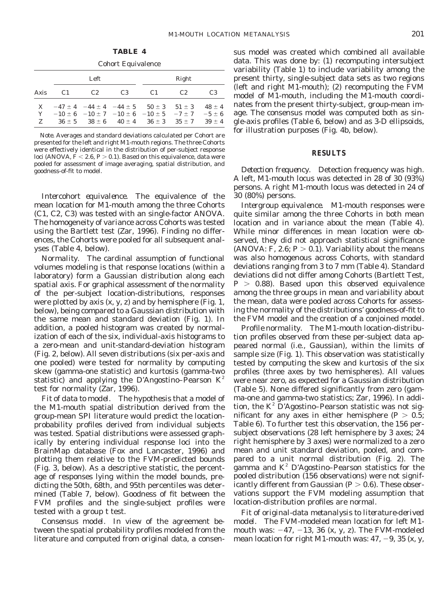**TABLE 4**

| <b>Cohort Equivalence</b> |                |                                             |                |                                                                       |            |                |  |  |  |
|---------------------------|----------------|---------------------------------------------|----------------|-----------------------------------------------------------------------|------------|----------------|--|--|--|
|                           |                | Left                                        |                |                                                                       | Right      |                |  |  |  |
| Axis                      | C <sub>1</sub> | C2                                          | C <sub>3</sub> | C <sub>1</sub>                                                        | C2         | C <sub>3</sub> |  |  |  |
| $\mathbf{X}$              |                |                                             |                | $-47 \pm 4$ $-44 \pm 4$ $-44 \pm 5$ $50 \pm 3$                        | $51 \pm 3$ | $48 \pm 4$     |  |  |  |
| Y                         |                |                                             |                | $-10 \pm 6$ $-10 \pm 7$ $-10 \pm 6$ $-10 \pm 5$ $-7 \pm 7$ $-5 \pm 6$ |            |                |  |  |  |
| Z                         |                | $36 \pm 5$ $38 \pm 6$ $40 \pm 4$ $36 \pm 3$ |                |                                                                       | $35 \pm 7$ | $39 \pm 4$     |  |  |  |

*Note.* Averages and standard deviations calculated per Cohort are presented for the left and right M1-mouth regions. The three Cohorts were effectively identical in the distribution of per-subject response loci (ANOVA,  $F < 2.6$ ,  $P > 0.1$ ). Based on this equivalence, data were pooled for assessment of image averaging, spatial distribution, and goodness-of-fit to model.

*Intercohort equivalence.* The equivalence of the mean location for M1-mouth among the three Cohorts (C1, C2, C3) was tested with an single-factor ANOVA. The homogeneity of variance across Cohorts was tested using the Bartlett test (Zar, 1996). Finding no differences, the Cohorts were pooled for all subsequent analyses (Table 4, below).

*Normality.* The cardinal assumption of functional volumes modeling is that response locations (within a laboratory) form a Gaussian distribution along each spatial axis. For graphical assessment of the normality of the per-subject location-distributions, responses were plotted by axis  $(x, y, z)$  and by hemisphere (Fig. 1, below), being compared to a Gaussian distribution with the same mean and standard deviation (Fig. 1). In addition, a pooled histogram was created by normalization of each of the six, individual-axis histograms to a zero-mean and unit-standard-deviation histogram (Fig. 2, below). All seven distributions (six per-axis and one pooled) were tested for normality by computing skew (gamma-one statistic) and kurtosis (gamma-two statistic) and applying the D'Angostino–Pearson  $K^2$ test for normality (Zar, 1996).

*Fit of data to model.* The hypothesis that a model of the M1-mouth spatial distribution derived from the group-mean SPI literature would predict the locationprobability profiles derived from individual subjects was tested. Spatial distributions were assessed graphically by entering individual response loci into the BrainMap database (Fox and Lancaster, 1996) and plotting them relative to the FVM-predicted bounds (Fig. 3, below). As a descriptive statistic, the percentage of responses lying within the model bounds, predicting the 50th, 68th, and 95th percentiles was determined (Table 7, below). Goodness of fit between the FVM profiles and the single-subject profiles were tested with a group *t* test.

*Consensus model.* In view of the agreement between the spatial probability profiles modeled from the literature and computed from original data, a consensus model was created which combined all available data. This was done by: (1) recomputing intersubject variability (Table 1) to include variability among the present thirty, single-subject data sets as two regions (left and right M1-mouth); (2) recomputing the FVM model of M1-mouth, including the M1-mouth coordinates from the present thirty-subject, group-mean image. The consensus model was computed both as single-axis profiles (Table 6, below) and as 3-D ellipsoids, for illustration purposes (Fig. 4b, below).

### **RESULTS**

*Detection frequency.* Detection frequency was high. A left, M1-mouth locus was detected in 28 of 30 (93%) persons. A right M1-mouth locus was detected in 24 of 30 (80%) persons.

*Intergroup equivalence.* M1-mouth responses were quite similar among the three Cohorts in both mean location and in variance about the mean (Table 4). While minor differences in mean location were observed, they did not approach statistical significance (ANOVA:  $F$ , 2.6;  $P > 0.1$ ). Variability about the means was also homogenous across Cohorts, with standard deviations ranging from 3 to 7 mm (Table 4). Standard deviations did not differ among Cohorts (Bartlett Test,  $P > 0.88$ ). Based upon this observed equivalence among the three groups in mean and variability about the mean, data were pooled across Cohorts for assessing the normality of the distributions' goodness-of-fit to the FVM model and the creation of a conjoined model.

*Profile normality.* The M1-mouth location-distribution profiles observed from these per-subject data appeared normal (i.e., Gaussian), within the limits of sample size (Fig. 1). This observation was statistically tested by computing the skew and kurtosis of the six profiles (three axes by two hemispheres). All values were near zero, as expected for a Gaussian distribution (Table 5). None differed significantly from zero (gamma-one and gamma-two statistics; Zar, 1996). In addition, the  $K^2$  D'Agostino–Pearson statistic was not significant for any axes in either hemisphere  $(P > 0.5)$ ; Table 6). To further test this observation, the 156 persubject observations (28 left hemisphere by 3 axes; 24 right hemisphere by 3 axes) were normalized to a zero mean and unit standard deviation, pooled, and compared to a unit normal distribution (Fig. 2). The gamma and  $K^2$  D'Agostino–Pearson statistics for the pooled distribution (156 observations) were not significantly different from Gaussian  $(P > 0.6)$ . These observations support the FVM modeling assumption that location-distribution profiles are normal.

*Fit of original-data metanalysis to literature-derived model.* The FVM-modeled mean location for left M1 mouth was:  $-47$ ,  $-13$ , 36 (x, y, z). The FVM-modeled mean location for right M1-mouth was:  $47, -9, 35$  (x, y,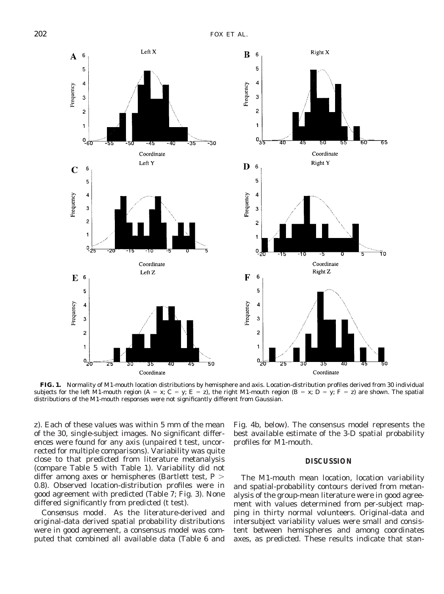

**FIG. 1.** Normality of M1-mouth location distributions by hemisphere and axis. Location-distribution profiles derived from 30 individual subjects for the left M1-mouth region (A = x; C = y; E = z), the right M1-mouth region (B = x; D = y; F = z) are shown. The spatial distributions of the M1-mouth responses were not significantly different from Gaussian.

z). Each of these values was within 5 mm of the mean of the 30, single-subject images. No significant differences were found for any axis (unpaired *t* test, uncorrected for multiple comparisons). Variability was quite close to that predicted from literature metanalysis (compare Table 5 with Table 1). Variability did not differ among axes or hemispheres (Bartlett test, *P* . 0.8). Observed location-distribution profiles were in good agreement with predicted (Table 7; Fig. 3). None differed significantly from predicted (*t* test).

*Consensus model.* As the literature-derived and original-data derived spatial probability distributions were in good agreement, a consensus model was computed that combined all available data (Table 6 and Fig. 4b, below). The consensus model represents the best available estimate of the 3-D spatial probability profiles for M1-mouth.

#### **DISCUSSION**

The M1-mouth mean location, location variability and spatial-probability contours derived from metanalysis of the group-mean literature were in good agreement with values determined from per-subject mapping in thirty normal volunteers. Original-data and intersubject variability values were small and consistent between hemispheres and among coordinates axes, as predicted. These results indicate that stan-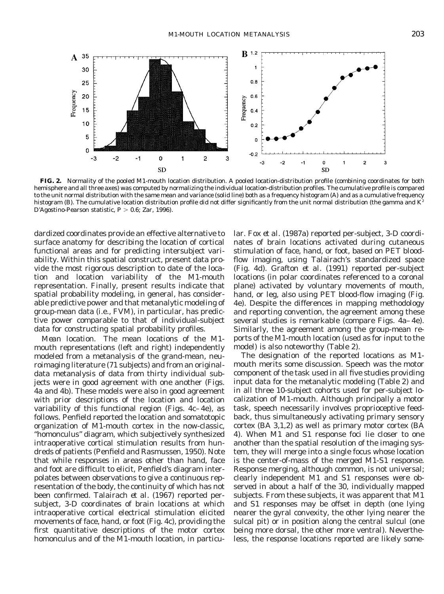

**FIG. 2.** Normality of the pooled M1-mouth location distribution. A pooled location-distribution profile (combining coordinates for both hemisphere and all three axes) was computed by normalizing the individual location-distribution profiles. The cumulative profile is compared to the unit normal distribution with the same mean and variance (solid line) both as a frequency histogram (A) and as a cumulative frequency histogram (B). The cumulative location distribution profile did not differ significantly from the unit normal distribution (the gamma and  $K^2$ D'Agostino-Pearson statistic,  $P > 0.6$ ; Zar, 1996).

dardized coordinates provide an effective alternative to surface anatomy for describing the location of cortical functional areas and for predicting intersubject variability. Within this spatial construct, present data provide the most rigorous description to date of the location and location variability of the M1-mouth representation. Finally, present results indicate that spatial probability modeling, in general, has considerable predictive power and that metanalytic modeling of group-mean data (i.e., FVM), in particular, has predictive power comparable to that of individual-subject data for constructing spatial probability profiles.

*Mean location.* The mean locations of the M1 mouth representations (left and right) independently modeled from a metanalysis of the grand-mean, neuroimaging literature (71 subjects) and from an originaldata metanalysis of data from thirty individual subjects were in good agreement with one another (Figs. 4a and 4b). These models were also in good agreement with prior descriptions of the location and location variability of this functional region (Figs. 4c–4e), as follows. Penfield reported the location and somatotopic organization of M1-mouth cortex in the now-classic, "homonculus" diagram, which subjectively synthesized intraoperative cortical stimulation results from hundreds of patients (Penfield and Rasmussen, 1950). Note that while responses in areas other than hand, face and foot are difficult to elicit, Penfield's diagram interpolates between observations to give a continuous representation of the body, the continuity of which has not been confirmed. Talairach *et al.* (1967) reported persubject, 3-D coordinates of brain locations at which intraoperative cortical electrical stimulation elicited movements of face, hand, or foot (Fig. 4c), providing the first quantitative descriptions of the motor cortex homonculus and of the M1-mouth location, in particular. Fox *et al.* (1987a) reported per-subject, 3-D coordinates of brain locations activated during cutaneous stimulation of face, hand, or foot, based on PET bloodflow imaging, using Talairach's standardized space (Fig. 4d). Grafton *et al.* (1991) reported per-subject locations (in polar coordinates referenced to a coronal plane) activated by voluntary movements of mouth, hand, or leg, also using PET blood-flow imaging (Fig. 4e). Despite the differences in mapping methodology and reporting convention, the agreement among these several studies is remarkable (compare Figs. 4a–4e). Similarly, the agreement among the group-mean reports of the M1-mouth location (used as for input to the model) is also noteworthy (Table 2).

The designation of the reported locations as M1 mouth merits some discussion. Speech was the motor component of the task used in all five studies providing input data for the metanalytic modeling (Table 2) and in all three 10-subject cohorts used for per-subject localization of M1-mouth. Although principally a motor task, speech necessarily involves proprioceptive feedback, thus simultaneously activating primary sensory cortex (BA 3,1,2) as well as primary motor cortex (BA 4). When M1 and S1 response foci lie closer to one another than the spatial resolution of the imaging system, they will merge into a single focus whose location is the center-of-mass of the merged M1-S1 response. Response merging, although common, is not universal; clearly independent M1 and S1 responses were observed in about a half of the 30, individually mapped subjects. From these subjects, it was apparent that M1 and S1 responses may be offset in depth (one lying nearer the gyral convexity, the other lying nearer the sulcal pit) or in position along the central sulcul (one being more dorsal, the other more ventral). Nevertheless, the response locations reported are likely some-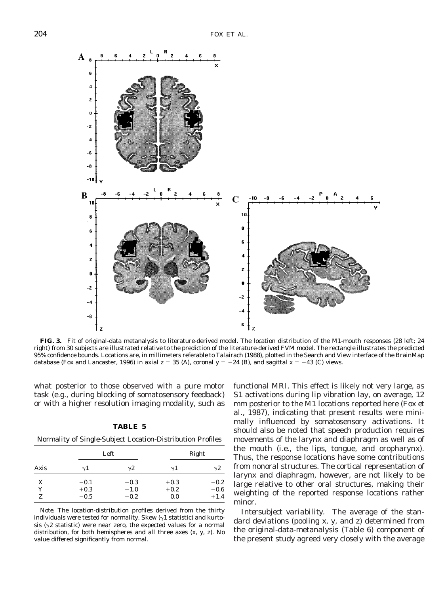

**FIG. 3.** Fit of original-data metanalysis to literature-derived model. The location distribution of the M1-mouth responses (28 left; 24 right) from 30 subjects are illustrated relative to the prediction of the literature-derived FVM model. The rectangle illustrates the predicted 95% confidence bounds. Locations are, in millimeters referable to Talairach (1988), plotted in the Search and View interface of the BrainMap database (Fox and Lancaster, 1996) in axial  $z = 35$  (A), coronal  $y = -24$  (B), and sagittal  $x = -43$  (C) views.

what posterior to those observed with a pure motor task (e.g., during blocking of somatosensory feedback) or with a higher resolution imaging modality, such as

| 'ABL |  |
|------|--|
|------|--|

Normality of Single-Subject Location-Distribution Profiles

| Axis |            | Left       |            | Right      |
|------|------------|------------|------------|------------|
|      | $\gamma$ 1 | $\sqrt{2}$ | $\gamma$ 1 | $\gamma$ 2 |
| X    | $-0.1$     | $+0.3$     | $+0.3$     | $-0.2$     |
| Y    | $+0.3$     | $-1.0$     | $+0.2$     | $-0.6$     |
| z    | $-0.5$     | $-0.2$     | 0.0        | $+1.4$     |

*Note.* The location-distribution profiles derived from the thirty individuals were tested for normality. Skew  $(\gamma 1$  statistic) and kurtosis ( $\gamma$ 2 statistic) were near zero, the expected values for a normal distribution, for both hemispheres and all three axes (x, y, z). No value differed significantly from normal.

functional MRI. This effect is likely not very large, as S1 activations during lip vibration lay, on average, 12 mm posterior to the M1 locations reported here (Fox *et al.,* 1987), indicating that present results were minimally influenced by somatosensory activations. It should also be noted that speech production requires movements of the larynx and diaphragm as well as of the mouth (i.e., the lips, tongue, and oropharynx). Thus, the response locations have some contributions from nonoral structures. The cortical representation of larynx and diaphragm, however, are not likely to be large relative to other oral structures, making their weighting of the reported response locations rather minor.

*Intersubject variability.* The average of the standard deviations (pooling x, y, and z) determined from the original-data-metanalysis (Table 6) component of the present study agreed very closely with the average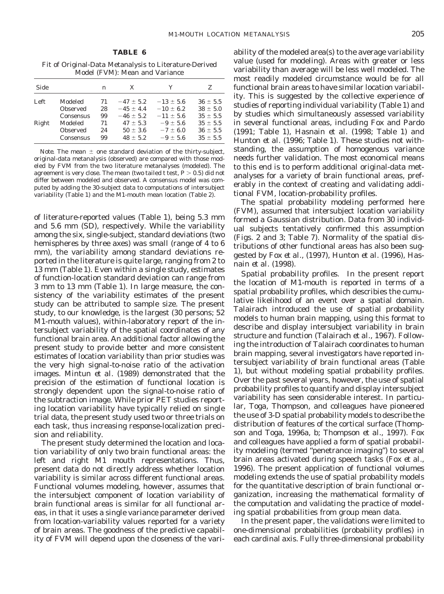Fit of Original-Data Metanalysis to Literature-Derived Model (FVM): Mean and Variance

| Side  |           | n  | X             | Y             | Z            |
|-------|-----------|----|---------------|---------------|--------------|
| Left  | Modeled   | 71 | $-47 \pm 5.2$ | $-13 \pm 5.6$ | $36 \pm 5.5$ |
|       | Observed  | 28 | $-45 \pm 4.4$ | $-10 \pm 6.2$ | $38 \pm 5.0$ |
|       | Consensus | 99 | $-46 \pm 5.2$ | $-11 \pm 5.6$ | $35 \pm 5.5$ |
| Right | Modeled   | 71 | $47 \pm 5.3$  | $-9 \pm 5.6$  | $35 \pm 5.5$ |
|       | Observed  | 24 | $50 \pm 3.6$  | $-7 \pm 6.0$  | $36 \pm 5.5$ |
|       | Consensus | 99 | $48 \pm 5.2$  | $-9 \pm 5.6$  | $35 \pm 5.5$ |

*Note.* The mean  $\pm$  one standard deviation of the thirty-subject, original-data metanalysis (observed) are compared with those modeled by FVM from the two literature metanalyses (modeled). The agreement is very close. The mean (two tailed  $t$  test,  $P > 0.5$ ) did not differ between modeled and observed. A consensus model was computed by adding the 30-subject data to computations of intersubject variability (Table 1) and the M1-mouth mean location (Table 2).

of literature-reported values (Table 1), being 5.3 mm and 5.6 mm (SD), respectively. While the variability among the six, single-subject, standard deviations (two hemispheres by three axes) was small (range of 4 to 6 mm), the variability among standard deviations reported in the literature is quite large, ranging from 2 to 13 mm (Table 1). Even within a single study, estimates of function-location standard deviation can range from 3 mm to 13 mm (Table 1). In large measure, the consistency of the variability estimates of the present study can be attributed to sample size. The present study, to our knowledge, is the largest (30 persons; 52 M1-mouth values), within-laboratory report of the intersubject variability of the spatial coordinates of any functional brain area. An additional factor allowing the present study to provide better and more consistent estimates of location variability than prior studies was the very high signal-to-noise ratio of the activation images. Mintun *et al.* (1989) demonstrated that the precision of the estimation of functional location is strongly dependent upon the signal-to-noise ratio of the subtraction image. While prior PET studies reporting location variability have typically relied on single trial data, the present study used two or three trials on each task, thus increasing response-localization precision and reliability.

The present study determined the location and location variability of only two brain functional areas: the left and right M1 mouth representations. Thus, present data do not directly address whether location variability is similar across different functional areas. Functional volumes modeling, however, assumes that the intersubject component of location variability of brain functional areas is similar for all functional areas, in that it uses a single variance parameter derived from location-variability values reported for a variety of brain areas. The goodness of the predictive capability of FVM will depend upon the closeness of the variability of the modeled area(s) to the average variability value (used for modeling). Areas with greater or less variability than average will be less well modeled. The most readily modeled circumstance would be for all functional brain areas to have similar location variability. This is suggested by the collective experience of studies of reporting individual variability (Table 1) and by studies which simultaneously assessed variability in several functional areas, including Fox and Pardo (1991; Table 1), Hasnain *et al.* (1998; Table 1) and Hunton *et al.* (1996; Table 1). These studies not withstanding, the assumption of homogenous variance needs further validation. The most economical means to this end is to perform additional original-data metanalyses for a variety of brain functional areas, preferably in the context of creating and validating additional FVM, location-probability profiles.

The spatial probability modeling performed here (FVM), assumed that intersubject location variability formed a Gaussian distribution. Data from 30 individual subjects tentatively confirmed this assumption (Figs. 2 and 3; Table 7). Normality of the spatial distributions of other functional areas has also been suggested by Fox *et al.,* (1997), Hunton *et al.* (1996), Hasnain *et al.* (1998).

*Spatial probability profiles.* In the present report the location of M1-mouth is reported in terms of a spatial probability profiles, which describies the cumulative likelihood of an event over a spatial domain. Talairach introduced the use of spatial probability models to human brain mapping, using this format to describe and display intersubject variability in brain structure and function (Talairach *et al.,* 1967). Following the introduction of Talairach coordinates to human brain mapping, several investigators have reported intersubject variability of brain functional areas (Table 1), but without modeling spatial probability profiles. Over the past several years, however, the use of spatial probability profiles to quantify and display intersubject variability has seen considerable interest. In particular, Toga, Thompson, and colleagues have pioneered the use of 3-D spatial probability models to describe the distribution of features of the cortical surface (Thompson and Toga, 1996a, b; Thompson *et al.,* 1997). Fox and colleagues have applied a form of spatial probability modeling (termed "penetrance imaging") to several brain areas activated during speech tasks (Fox *et al.,* 1996). The present application of functional volumes modeling extends the use of spatial probability models for the quantitative description of brain functional organization, increasing the mathematical formality of the computation and validating the practice of modeling spatial probabilities from group mean data.

In the present paper, the validations were limited to one-dimensional probabilities (probability profiles) in each cardinal axis. Fully three-dimensional probability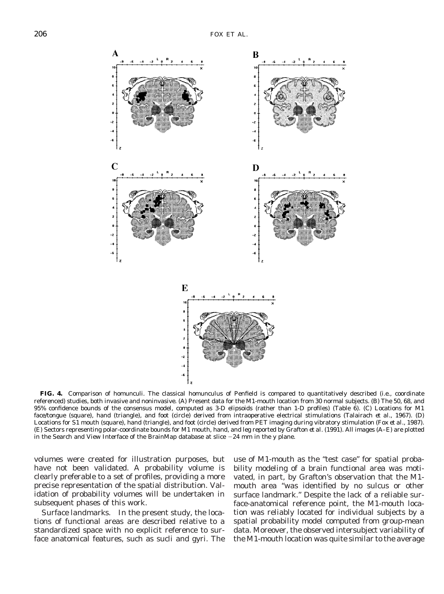

**FIG. 4.** Comparison of homunculi. The classical homunculus of Penfield is compared to quantitatively described (i.e., coordinate referenced) studies, both invasive and noninvasive. (A) Present data for the M1-mouth location from 30 normal subjects. (B) The 50, 68, and 95% confidence bounds of the consensus model, computed as 3-D elipsoids (rather than 1-D profiles) (Table 6). (C) Locations for M1 face/tongue (square), hand (triangle), and foot (circle) derived from intraoperative electrical stimulations (Talairach *et al.,* 1967). (D) Locations for S1 mouth (square), hand (triangle), and foot (circle) derived from PET imaging during vibratory stimulation (Fox *et al.,* 1987). (E) Sectors representing polar-coordinate bounds for M1 mouth, hand, and leg reported by Grafton *et al.* (1991). All images (A–E) are plotted in the Search and View Interface of the BrainMap database at slice  $-24$  mm in the y plane.

volumes were created for illustration purposes, but have not been validated. A probability volume is clearly preferable to a set of profiles, providing a more precise representation of the spatial distribution. Validation of probability volumes will be undertaken in subsequent phases of this work.

*Surface landmarks.* In the present study, the locations of functional areas are described relative to a standardized space with no explicit reference to surface anatomical features, such as sucli and gyri. The

use of M1-mouth as the "test case" for spatial probability modeling of a brain functional area was motivated, in part, by Grafton's observation that the M1 mouth area "was identified by no sulcus or other surface landmark." Despite the lack of a reliable surface-anatomical reference point, the M1-mouth location was reliably located for individual subjects by a spatial probability model computed from group-mean data. Moreover, the observed intersubject variability of the M1-mouth location was quite similar to the average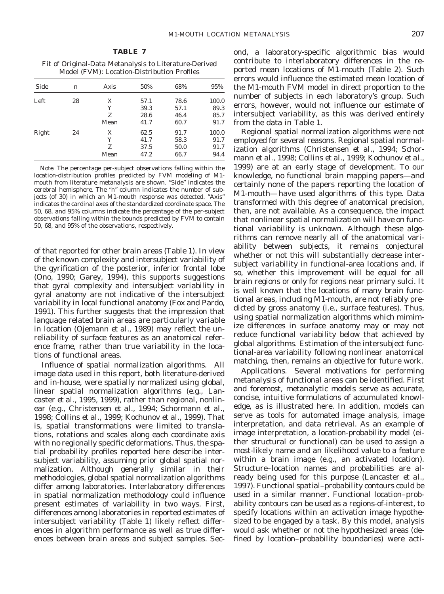Fit of Original-Data Metanalysis to Literature-Derived Model (FVM): Location-Distribution Profiles

| Side       | n  | Axis | 50%  | 68%  | 95%   |
|------------|----|------|------|------|-------|
| Left<br>28 |    | X    | 57.1 | 78.6 | 100.0 |
|            |    | Y    | 39.3 | 57.1 | 89.3  |
|            |    | z    | 28.6 | 46.4 | 85.7  |
|            |    | Mean | 41.7 | 60.7 | 91.7  |
| Right      | 24 | X    | 62.5 | 91.7 | 100.0 |
|            |    | Y    | 41.7 | 58.3 | 91.7  |
|            |    | Z    | 37.5 | 50.0 | 91.7  |
|            |    | Mean | 47.2 | 66.7 | 94.4  |

*Note.* The percentage per-subject observations falling within the location-distribution profiles predicted by FVM modeling of M1 mouth from literature metanalysis are shown. "Side" indicates the cerebral hemisphere. The "*n*" column indicates the number of subjects (of 30) in which an M1-mouth response was detected. "Axis" indicates the cardinal axes of the standardized coordinate space. The 50, 68, and 95% columns indicate the percentage of the per-subject observations falling within the bounds predicted by FVM to contain 50, 68, and 95% of the observations, respectively.

of that reported for other brain areas (Table 1). In view of the known complexity and intersubject variability of the gyrification of the posterior, inferior frontal lobe (Ono, 1990; Garey, 1994), this supports suggestions that gyral complexity and intersubject variability in gyral anatomy are not indicative of the intersubject variability in local functional anatomy (Fox and Pardo, 1991). This further suggests that the impression that language related brain areas are particularly variable in location (Ojemann *et al.,* 1989) may reflect the unreliability of surface features as an anatomical reference frame, rather than true variability in the locations of functional areas.

*Influence of spatial normalization algorithms.* All image data used in this report, both literature-derived and in-house, were spatially normalized using global, linear spatial normalization algorithms (e.g., Lancaster *et al.,* 1995, 1999), rather than regional, nonlinear (e.g., Christensen *et al.,* 1994; Schormann *et al.,* 1998; Collins *et al.,* 1999; Kochunov *et al.,* 1999). That is, spatial transformations were limited to translations, rotations and scales along each coordinate axis with no regionally specific deformations. Thus, the spatial probability profiles reported here describe intersubject variability, assuming prior global spatial normalization. Although generally similar in their methodologies, global spatial normalization algorithms differ among laboratories. Interlaboratory differences in spatial normalization methodology could influence present estimates of variability in two ways. First, differences among laboratories in reported estimates of intersubject variability (Table 1) likely reflect differences in algorithm performance as well as true differences between brain areas and subject samples. Second, a laboratory-specific algorithmic bias would contribute to interlaboratory differences in the reported mean locations of M1-mouth (Table 2). Such errors would influence the estimated mean location of the M1-mouth FVM model in direct proportion to the number of subjects in each laboratory's group. Such errors, however, would not influence our estimate of intersubject variability, as this was derived entirely from the data in Table 1.

Regional spatial normalization algorithms were not employed for several reasons. Regional spatial normalization algorithms (Christensen *et al.,* 1994; Schormann *et al.,* 1998; Collins *et al.,* 1999; Kochunov *et al.,* 1999) are at an early stage of development. To our knowledge, no functional brain mapping papers—and certainly none of the papers reporting the location of M1-mouth—have used algorithms of this type. Data transformed with this degree of anatomical precision, then, are not available. As a consequence, the impact that nonlinear spatial normalization will have on functional variability is unknown. Although these algorithms can remove nearly all of the anatomical variability between subjects, it remains conjectural whether or not this will substantially decrease intersubject variability in functional-area locations and, if so, whether this improvement will be equal for all brain regions or only for regions near primary sulci. It is well known that the locations of many brain functional areas, including M1-mouth, are not reliably predicted by gross anatomy (i.e., surface features). Thus, using spatial normalization algorithms which mimimize differences in surface anatomy may or may not reduce functional variability below that achieved by global algorithms. Estimation of the intersubject functional-area variability following nonlinear anatomical matching, then, remains an objective for future work.

*Applications.* Several motivations for performing metanalysis of functional areas can be identified. First and foremost, metanalytic models serve as accurate, concise, intuitive formulations of accumulated knowledge, as is illustrated here. In addition, models can serve as tools for automated image analysis, image interpretation, and data retrieval. As an example of image interpretation, a location-probability model (either structural or functional) can be used to assign a most-likely name and an likelihood value to a feature within a brain image (e.g., an activated location). Structure–location names and probabilities are already being used for this purpose (Lancaster *et al.,* 1997). Functional spatial–probability contours could be used in a similar manner. Functional location–probability contours can be used as a regions-of-interest, to specify locations within an activation image hypothesized to be engaged by a task. By this model, analysis would ask whether or not the hypothesized areas (defined by location–probability boundaries) were acti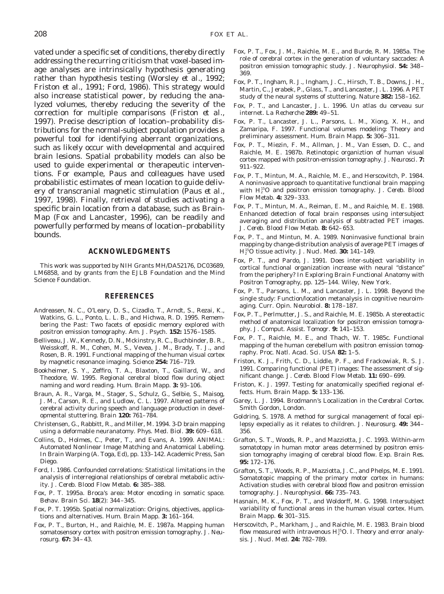vated under a specific set of conditions, thereby directly addressing the recurring criticism that voxel-based image analyses are intrinsically hypothesis generating rather than hypothesis testing (Worsley *et al.,* 1992; Friston *et al.,* 1991; Ford, 1986). This strategy would also increase statistical power, by reducing the analyzed volumes, thereby reducing the severity of the correction for multiple comparisons (Friston *et al.,* 1997). Precise description of location–probability distributions for the normal-subject population provides a powerful tool for identifying aberrant organizations, such as likely occur with developmental and acquired brain lesions. Spatial probability models can also be used to guide experimental or therapeutic interventions. For example, Paus and colleagues have used probabilistic estimates of mean location to guide delivery of transcranial magnetic stimulation (Paus *et al.,* 1997, 1998). Finally, retrieval of studies activating a specific brain location from a database, such as Brain-Map (Fox and Lancaster, 1996), can be readily and powerfully performed by means of location–probability bounds.

## **ACKNOWLEDGMENTS**

This work was supported by NIH Grants MH/DA52176, DC03689, LM6858, and by grants from the EJLB Foundation and the Mind Science Foundation.

#### **REFERENCES**

- Andreasen, N. C., O'Leary, D. S., Cizadlo, T., Arndt, S., Rezai, K., Watkins, G. L., Ponto, L. L. B., and Hichwa, R. D. 1995. Remembering the Past: Two facets of eposidic memory explored with positron emission tomography. *Am. J. Psych.* **152:** 1576–1585.
- Belliveau, J. W., Kennedy, D. N., Mckinstry, R. C., Buchbinder, B. R., Weisskoff, R. M., Cohen, M. S., Vevea, J. M., Brady, T. J., and Rosen, B. R. 1991. Functional mapping of the human visual cortex by magnetic resonance imaging. *Science* **254:** 716–719.
- Bookheimer, S. Y., Zeffiro, T. A., Blaxton, T., Gaillard, W., and Theodore, W. 1995. Regional cerebral blood flow during object naming and word reading. *Hum. Brain Mapp.* **3:** 93–106.
- Braun, A. R., Varga, M., Stager, S., Schulz, G., Selbie, S., Maisog, J. M., Carson, R. E., and Ludlow, C. L. 1997. Altered patterns of cerebral activity during speech and language production in developmental stuttering. *Brain* **120:** 761–784.
- Christensen, G., Rabbitt, R., and Miller, M. 1994. 3-D brain mapping using a deformable neuranatomy. *Phys. Med. Biol.* **39:** 609–618.
- Collins, D., Holmes, C., Peter, T., and Evans, A. 1999. ANIMAL: Automated Nonlinear Image Matching and Anatomical Labeling. In *Brain Warping* (A. Toga, Ed), pp. 133–142. Academic Press, San Diego.
- Ford, I. 1986. Confounded correlations: Statistical limitations in the analysis of interregional relationships of cerebral metabolic activity. *J. Cereb. Blood Flow Metab.* **6:** 385–388.
- Fox, P. T. 1995a. Broca's area: Motor encoding in somatic space. *Behav. Brain Sci.* **18**(2): 344–345.
- Fox, P. T. 1995b. Spatial normalization: Origins, objectives, applications and alternatives. *Hum. Brain Mapp.* **3:** 161–164.
- Fox, P. T., Burton, H., and Raichle, M. E. 1987a. Mapping human somatosensory cortex with positron emission tomography. *J. Neurosurg.* **67:** 34–43.
- Fox, P. T., Fox, J. M., Raichle, M. E., and Burde, R. M. 1985a. The role of cerebral cortex in the generation of voluntary saccades: A positron emission tomographic study. *J. Neurophysiol.* **54:** 348– 369.
- Fox, P. T., Ingham, R. J., Ingham, J. C., Hirsch, T. B., Downs, J. H., Martin, C., Jerabek, P., Glass, T., and Lancaster, J. L. 1996. A PET study of the neural systems of stuttering. *Nature* **382:** 158–162.
- Fox, P. T., and Lancaster, J. L. 1996. Un atlas du cerveau sur internet. *La Recherche* **289:** 49–51.
- Fox, P. T., Lancaster, J. L., Parsons, L. M., Xiong, X. H., and Zamaripa, F. 1997. Functional volumes modeling: Theory and preliminary assessment. *Hum. Brain Mapp.* **5:** 306–311.
- Fox, P. T., Miezin, F. M., Allman, J. M., Van Essen, D. C., and Raichle, M. E. 1987b. Retinotopic organiztion of human visual cortex mapped with positron-emission tomography. *J. Neurosci.* **7:** 911–922.
- Fox, P. T., Mintun, M. A., Raichle, M. E., and Herscovitch, P. 1984. A noninvasive approach to quantitative functional brain mapping with H<sup>15</sup>O and positron emission tomography. *J. Cereb. Blood Flow Metab.* **4:** 329–333.
- Fox, P. T., Mintun, M. A., Reiman, E. M., and Raichle, M. E. 1988. Enhanced detection of focal brain responses using intersubject averaging and distribution analysis of subtracted PET images. *J. Cereb. Blood Flow Metab.* **8:** 642–653.
- Fox, P. T., and Mintun, M. A. 1989. Noninvasive functional brain mapping by change-distribution analysis of average PET images of H2 15O tissue activity. *J. Nucl. Med.* **30:** 141–149.
- Fox, P. T., and Pardo, J. 1991. Does inter-subject variability in cortical functional organization increase with neural "distance" from the periphery? In *Exploring Brain Functional Anatomy with Positron Tomography,* pp. 125–144. Wiley, New York.
- Fox, P. T., Parsons, L. M., and Lancaster, J. L. 1998. Beyond the single study: Function/location metanalysis in cognitive neuroimaging. *Curr. Opin. Neurobiol.* **8:** 178–187.
- Fox, P. T., Perlmutter, J. S., and Raichle, M. E. 1985b. A stereotactic method of anatomical localization for positron emission tomography. *J. Comput. Assist. Tomogr.* **9:** 141–153.
- Fox, P. T., Raichle, M. E., and Thach, W. T. 1985c. Functional mapping of the human cerebellum with positron emission tomography. *Proc. Natl. Acad. Sci. USA* **82:** 1–5.
- Friston, K. J., Frith, C. D., Liddle, P. F., and Frackowiak, R. S. J. 1991. Comparing functional (PET) images: The assessment of significant change. *J. Cereb. Blood Flow Metab.* **11:** 690–699.
- Friston, K. J. 1997. Testing for anatomically specified regional effects. *Hum. Brain Mapp.* **5:** 133–136.
- Garey, L. J. 1994. *Brodmann's Localization in the Cerebral Cortex.* Smith Gordon, London.
- Goldring, S. 1978. A method for surgical management of focal epilepsy expecially as it relates to children. *J. Neurosurg.* **49:** 344– 356.
- Grafton, S. T., Woods, R. P., and Mazziotta, J. C. 1993. Within-arm somatotopy in human motor areas determined by positron emission tomography imaging of cerebral blood flow. *Exp. Brain Res.* **95:** 172–176.
- Grafton, S. T., Woods, R. P., Mazziotta, J. C., and Phelps, M. E. 1991. Somatotopic mapping of the primary motor cortex in humans: Activation studies with cerebral blood flow and positron emission tomography. *J. Neurophysiol.* **66:** 735–743.
- Hasnain, M. K., Fox, P. T., and Woldorff, M. G. 1998. Intersubject variability of functional areas in the human visual cortex. *Hum. Brain Mapp.* **6:** 301–315.
- Herscovitch, P., Markham, J., and Raichle, M. E. 1983. Brain blood flow measured with intravenous  $H_2^{15}O$ . I. Theory and error analysis. *J. Nucl. Med.* **24:** 782–789.